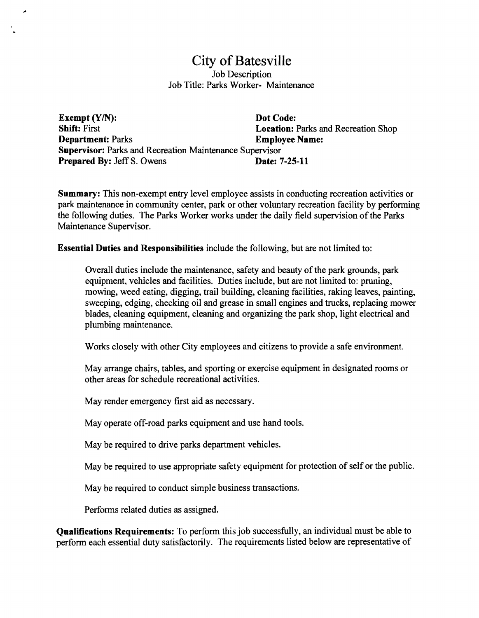# City of Batesville Job Description Job Title: Parks Worker- Maintenance

Exempt (Y/N): Dot Code: Shift: First Location: Parks and Recreation Shop Department: Parks Employee Name: Supervisor: Parks and Recreation Maintenance Supervisor Prepared By: Jeff S. Owens Date: 7-25-11

Summary: This non-exempt entry level employee assists in conducting recreation activities or park maintenance in community center, park or other voluntary recreation facility by performing the following duties. The Parks Worker works under the daily field supervision of the Parks Maintenance Supervisor.

Essential Duties and Responsibilities include the following, but are not limited to:

Overall duties include the maintenance, safety and beauty of the park grounds, park equipment, vehicles and facilities. Duties include, but are not limited to: pruning, mowing, weed eating, digging, trail building, cleaning facilities, raking leaves, painting, sweeping, edging, checking oil and grease in small engines and trucks, replacing mower blades, cleaning equipment, cleaning and organizing the park shop, light electrical and plumbing maintenance.

Works closely with other City employees and citizens to provide a safe environment.

May arrange chairs, tables, and sporting or exercise equipment in designated rooms or other areas for schedule recreational activities.

May render emergency first aid as necessary.

۸

May operate off-road parks equipment and use hand tools.

May be required to drive parks department vehicles.

May be required to use appropriate safety equipment for protection of self or the public.

May be required to conduct simple business transactions.

Performs related duties as assigned.

Qualifications Requirements: To perform this job successfully, an individual must be able to perform each essential duty satisfactorily. The requirements listed below are representative of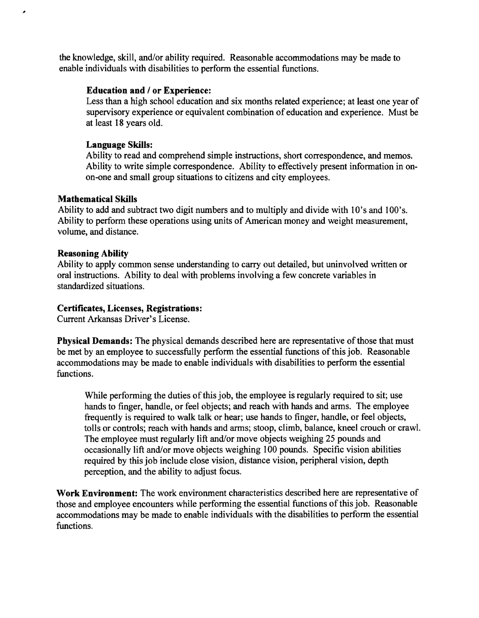the knowledge, skill, and/or ability required. Reasonable accommodations may be made to enable individuals with disabilities to perform the essential functions.

### Education and / or Experience:

Less than a high school education and six months related experience; at least one year of supervisory experience or equivalent combination of education and experience. Must be at least 18 years old.

# Language Skills:

Ability to read and comprehend simple instructions, short correspondence, and memos. Ability to write simple correspondence. Ability to effectively present information in on on-one and small group situations to citizens and city employees.

### Mathematical Skills

م

Ability to add and subtract two digit numbers and to multiply and divide with 10's and 100's. Ability to perform these operations using units of American money and weight measurement, volume, and distance.

### Reasoning Ability

Ability to apply common sense understanding to carry out detailed, but uninvolved written or oral instructions. Ability to deal with problems involving a few concrete variables in standardized situations.

# Certificates, Licenses, Registrations:

Current Arkansas Driver's License.

Physical Demands: The physical demands described here are representative of those that must be met by an employee to successfully perform the essential functions ofthis job. Reasonable accommodations may be made to enable individuals with disabilities to perform the essential functions.

While performing the duties of this job, the employee is regularly required to sit; use hands to finger, handle, or feel objects; and reach with hands and arms. The employee frequently is required to walk talk or hear; use hands to finger, handle, or feel objects, tolls or controls; reach with hands and arms; stoop, climb, balance, kneel crouch or crawl. The employee must regularly lift and/or move objects weighing 25 pounds and occasionally lift and/or move objects weighing 100 pounds. Specific vision abilities required by this job include close vision, distance vision, peripheral vision, depth perception, and the ability to adjust focus.

Work Environment: The work environment characteristics described here are representative of those and employee encounters while performing the essential functions of this job. Reasonable accommodations may be made to enable individuals with the disabilities to perform the essential functions.